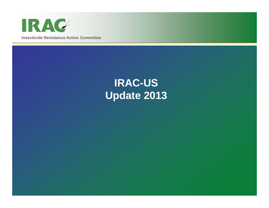

# **IRAC-US Update 2013**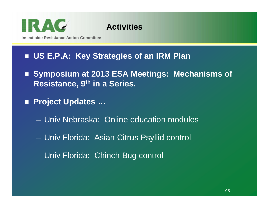

#### **Activities**

## **US E.P.A: Key Strategies of an IRM Plan**

- Symposium at 2013 ESA Meetings: Mechanisms of **Resistance, 9th in a Series.**
- **Project Updates …**
	- –Univ Nebraska: Online education modules
	- Univ Florida: Asian Citrus Psyllid control
	- $\mathcal{L}_{\mathcal{A}}$ Univ Florida: Chinch Bug control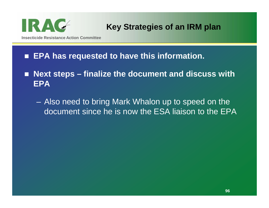

- EPA has requested to have this information.
- Next steps finalize the document and discuss with **EPA**
	- Also need to bring Mark Whalon up to speed on the document since he is now the ESA liaison to the EPA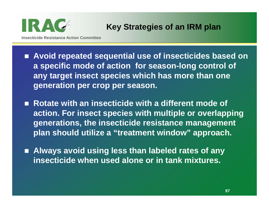

**Insecticide Resistance Action Committee**

- **Avoid repeated sequential use of insecticides based on a specific mode of action for season-long control of any target insect species which has more than one generation per crop per season.**
- Rotate with an insecticide with a different mode of **action. For insect species with multiple or overlapping generations, the insecticide resistance management plan should utilize a "treatment window" approach.**
- Always avoid using less than labeled rates of any **insecticide when used alone or in tank mixtures.**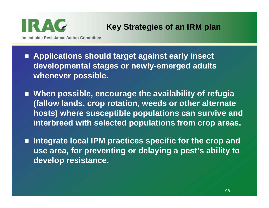

**Insecticide Resistance Action Committee**

- Applications should target against early insect **developmental stages or newly-emerged adults whenever possible.**
- When possible, encourage the availability of refugia **(fallow lands, crop rotation, weeds or other alternate hosts) where susceptible populations can survive and interbreed with selected populations from crop areas.**
- **Integrate local IPM practices specific for the crop and use area, for preventing or delaying a pest's ability to develop resistance.**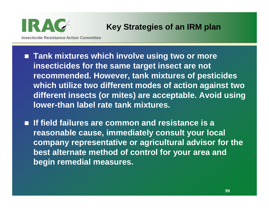

**Insecticide Resistance Action Committee**

- **Tank mixtures which involve using two or more insecticides for the same target insect are not recommended. However, tank mixtures of pesticides which utilize two different modes of action against two different insects (or mites) are acceptable. Avoid using lower-than label rate tank mixtures.**
- If field failures are common and resistance is a **reasonable cause, immediately consult your local company representative or agricultural advisor for the best alternate method of control for your area and begin remedial measures.**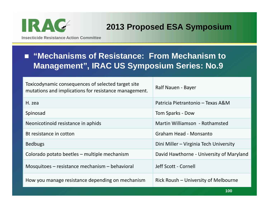

#### **2013 Proposed ESA Symposium**

**Insecticide Resistance Action Committee**

#### ■ "Mechanisms of Resistance: From Mechanism to **Management", IRAC US Symposium Series: No.9**

| Toxicodynamic consequences of selected target site<br>mutations and implications for resistance management. | Ralf Nauen - Bayer                       |
|-------------------------------------------------------------------------------------------------------------|------------------------------------------|
| H. zea                                                                                                      | Patricia Pietrantonio – Texas A&M        |
| Spinosad                                                                                                    | Tom Sparks - Dow                         |
| Neonicotinoid resistance in aphids                                                                          | Martin Williamson - Rothamsted           |
| Bt resistance in cotton                                                                                     | Graham Head - Monsanto                   |
| <b>Bedbugs</b>                                                                                              | Dini Miller - Virginia Tech University   |
| Colorado potato beetles – multiple mechanism                                                                | David Hawthorne - University of Maryland |
| Mosquitoes – resistance mechanism – behavioral                                                              | Jeff Scott - Cornell                     |
| How you manage resistance depending on mechanism                                                            | Rick Roush – University of Melbourne     |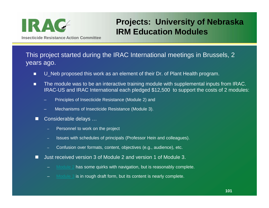

### **Projects: University of Nebraska IRM Education Modules**

This project started during the IRAC International meetings in Brussels, 2 years ago.

- О U\_Neb proposed this work as an element of their Dr. of Plant Health program.
- п The module was to be an interactive training module with supplemental inputs from IRAC. IRAC-US and IRAC International each pledged \$12,500 to support the costs of 2 modules:
	- Principles of Insecticide Resistance (Module 2) and
	- Mechanisms of Insecticide Resistance (Module 3).
- $\Box$  Considerable delays …
	- Personnel to work on the project
	- Issues with schedules of principals (Professor Hein and colleagues).
	- Confusion over formats, content, objectives (e.g., audience), etc.
- n Just received version 3 of Module 2 and version 1 of Module 3.
	- Module 2 has some quirks with navigation, but is reasonably complete.
	- Module 3 is in rough draft form, but its content is nearly complete.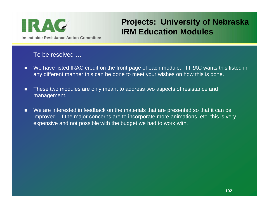

#### **Projects: University of Nebraska IRM Education Modules**

- To be resolved …
- We have listed IRAC credit on the front page of each module. If IRAC wants this listed in any different manner this can be done to meet your wishes on how this is done.
- п These two modules are only meant to address two aspects of resistance and management.
- $\blacksquare$  We are interested in feedback on the materials that are presented so that it can be improved. If the major concerns are to incorporate more animations, etc. this is very expensive and not possible with the budget we had to work with.